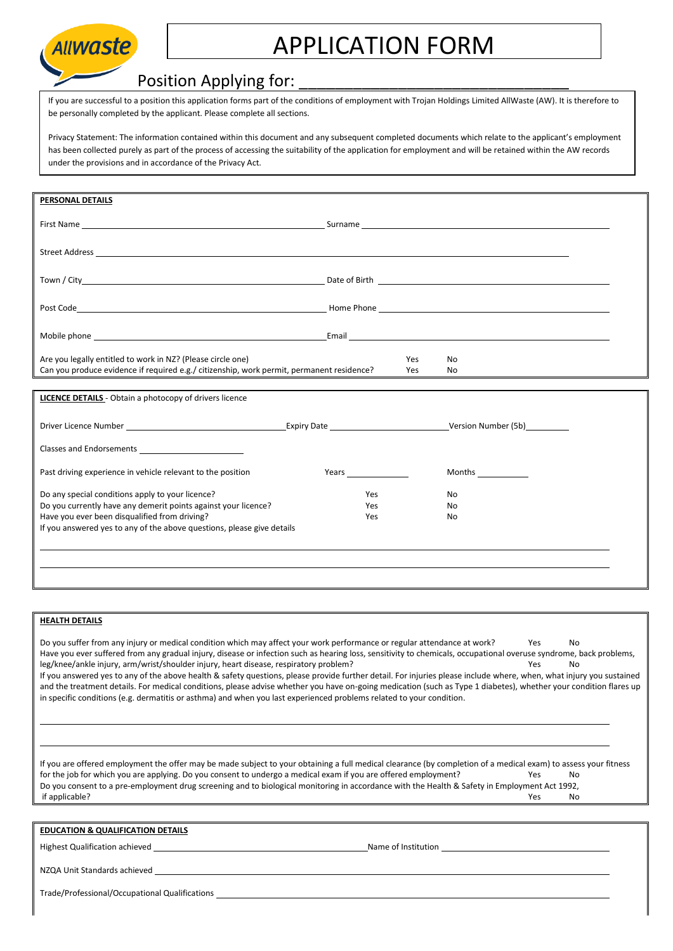

## APPLICATION FORM

## Position Applying for:

If you are successful to a position this application forms part of the conditions of employment with Trojan Holdings Limited AllWaste (AW). It is therefore to be personally completed by the applicant. Please complete all sections.

Privacy Statement: The information contained within this document and any subsequent completed documents which relate to the applicant's employment has been collected purely as part of the process of accessing the suitability of the application for employment and will be retained within the AW records under the provisions and in accordance of the Privacy Act.

| PERSONAL DETAILS                                                                                                                                                                                                              |                                                                                                                                                                                                                                     |               |  |  |
|-------------------------------------------------------------------------------------------------------------------------------------------------------------------------------------------------------------------------------|-------------------------------------------------------------------------------------------------------------------------------------------------------------------------------------------------------------------------------------|---------------|--|--|
|                                                                                                                                                                                                                               |                                                                                                                                                                                                                                     |               |  |  |
|                                                                                                                                                                                                                               |                                                                                                                                                                                                                                     |               |  |  |
|                                                                                                                                                                                                                               |                                                                                                                                                                                                                                     |               |  |  |
|                                                                                                                                                                                                                               |                                                                                                                                                                                                                                     |               |  |  |
|                                                                                                                                                                                                                               |                                                                                                                                                                                                                                     |               |  |  |
|                                                                                                                                                                                                                               |                                                                                                                                                                                                                                     |               |  |  |
| Mobile phone and the contract of the contract of the contract of the contract of the contract of the contract of the contract of the contract of the contract of the contract of the contract of the contract of the contract |                                                                                                                                                                                                                                     |               |  |  |
| Are you legally entitled to work in NZ? (Please circle one)<br>Yes<br>No<br>Can you produce evidence if required e.g./ citizenship, work permit, permanent residence?<br>Yes                                                  |                                                                                                                                                                                                                                     | No.           |  |  |
|                                                                                                                                                                                                                               |                                                                                                                                                                                                                                     |               |  |  |
| <b>LICENCE DETAILS</b> - Obtain a photocopy of drivers licence                                                                                                                                                                |                                                                                                                                                                                                                                     |               |  |  |
|                                                                                                                                                                                                                               |                                                                                                                                                                                                                                     |               |  |  |
| <b>Classes and Endorsements</b>                                                                                                                                                                                               |                                                                                                                                                                                                                                     |               |  |  |
|                                                                                                                                                                                                                               |                                                                                                                                                                                                                                     |               |  |  |
| Past driving experience in vehicle relevant to the position                                                                                                                                                                   | <b>Years</b> and the state of the state of the state of the state of the state of the state of the state of the state of the state of the state of the state of the state of the state of the state of the state of the state of th | <b>Months</b> |  |  |
| Do any special conditions apply to your licence?                                                                                                                                                                              | Yes                                                                                                                                                                                                                                 | No.           |  |  |
| Do you currently have any demerit points against your licence?<br>Have you ever been disqualified from driving?                                                                                                               | Yes<br>Yes                                                                                                                                                                                                                          | No<br>No      |  |  |
| If you answered yes to any of the above questions, please give details                                                                                                                                                        |                                                                                                                                                                                                                                     |               |  |  |
|                                                                                                                                                                                                                               |                                                                                                                                                                                                                                     |               |  |  |

## **HEALTH DETAILS**

Do you suffer from any injury or medical condition which may affect your work performance or regular attendance at work? Yes No Have you ever suffered from any gradual injury, disease or infection such as hearing loss, sensitivity to chemicals, occupational overuse syndrome, back problems, leg/knee/ankle injury, arm/wrist/shoulder injury, heart disease, respiratory problem? The Manus of the North Mo If you answered yes to any of the above health & safety questions, please provide further detail. For injuries please include where, when, what injury you sustained and the treatment details. For medical conditions, please advise whether you have on-going medication (such as Type 1 diabetes), whether your condition flares up in specific conditions (e.g. dermatitis or asthma) and when you last experienced problems related to your condition.

If you are offered employment the offer may be made subject to your obtaining a full medical clearance (by completion of a medical exam) to assess your fitness for the job for which you are applying. Do you consent to undergo a medical exam if you are offered employment? Yes No Do you consent to a pre-employment drug screening and to biological monitoring in accordance with the Health & Safety in Employment Act 1992, if applicable? Yes No

| <b>EDUCATION &amp; QUALIFICATION DETAILS</b> |  |
|----------------------------------------------|--|
|                                              |  |

Highest Qualification achieved Name of Institution Name of Institution

NZQA Unit Standards achieved

Trade/Professional/Occupational Qualifications